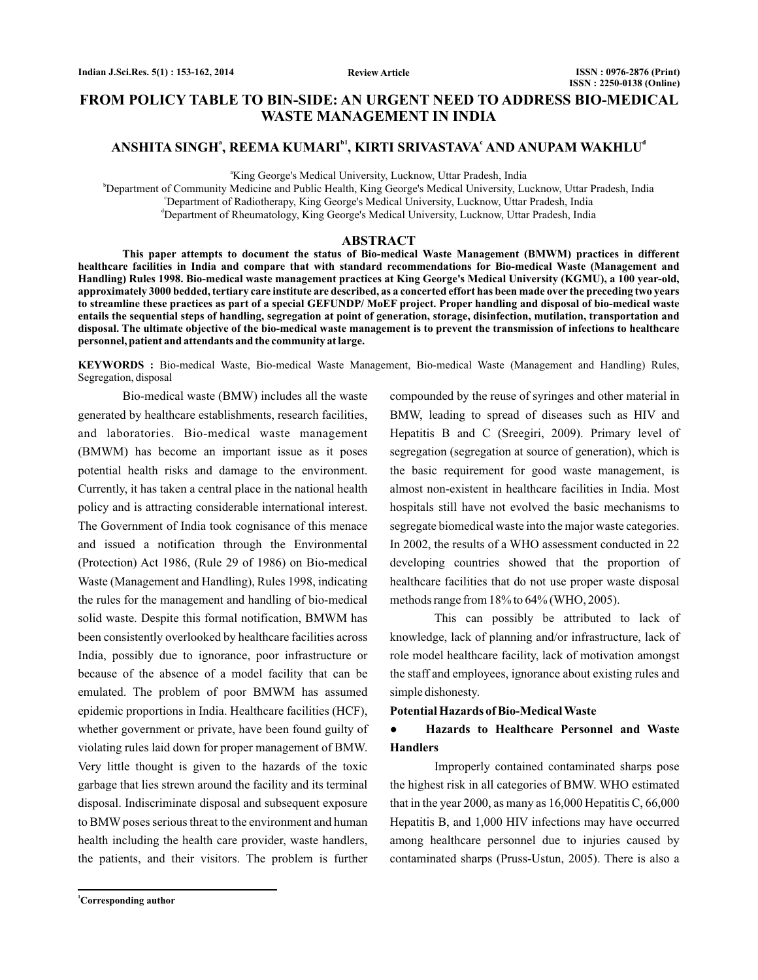# **FROM POLICY TABLE TO BIN-SIDE: AN URGENT NEED TO ADDRESS BIO-MEDICAL WASTE MANAGEMENT IN INDIA**

# $A$ NSHITA SINGH<sup>a</sup>, REEMA KUMARI<sup>bi</sup>, KIRTI SRIVASTAVA<sup>c</sup> AND ANUPAM WAKHLU<sup>d</sup>

a King George's Medical University, Lucknow, Uttar Pradesh, India

b Department of Community Medicine and Public Health, King George's Medical University, Lucknow, Uttar Pradesh, India c Department of Radiotherapy, King George's Medical University, Lucknow, Uttar Pradesh, India d Department of Rheumatology, King George's Medical University, Lucknow, Uttar Pradesh, India

#### **ABSTRACT**

**This paper attempts to document the status of Bio-medical Waste Management (BMWM) practices in different healthcare facilities in India and compare that with standard recommendations for Bio-medical Waste (Management and Handling) Rules 1998. Bio-medical waste management practices at King George's Medical University (KGMU), a 100 year-old, approximately 3000 bedded, tertiary care institute are described, as a concerted effort has been made over the preceding two years to streamline these practices as part of a special GEFUNDP/ MoEF project. Proper handling and disposal of bio-medical waste entails the sequential steps of handling, segregation at point of generation, storage, disinfection, mutilation, transportation and disposal. The ultimate objective of the bio-medical waste management is to prevent the transmission of infections to healthcare personnel, patient and attendants and the community at large.**

**KEYWORDS :** Bio-medical Waste, Bio-medical Waste Management, Bio-medical Waste (Management and Handling) Rules, Segregation, disposal

Bio-medical waste (BMW) includes all the waste generated by healthcare establishments, research facilities, and laboratories. Bio-medical waste management (BMWM) has become an important issue as it poses potential health risks and damage to the environment. Currently, it has taken a central place in the national health policy and is attracting considerable international interest. The Government of India took cognisance of this menace and issued a notification through the Environmental (Protection) Act 1986, (Rule 29 of 1986) on Bio-medical Waste (Management and Handling), Rules 1998, indicating the rules for the management and handling of bio-medical solid waste. Despite this formal notification, BMWM has been consistently overlooked by healthcare facilities across India, possibly due to ignorance, poor infrastructure or because of the absence of a model facility that can be emulated. The problem of poor BMWM has assumed epidemic proportions in India. Healthcare facilities (HCF), whether government or private, have been found guilty of violating rules laid down for proper management of BMW. Very little thought is given to the hazards of the toxic garbage that lies strewn around the facility and its terminal disposal. Indiscriminate disposal and subsequent exposure to BMW poses serious threat to the environment and human health including the health care provider, waste handlers, the patients, and their visitors. The problem is further compounded by the reuse of syringes and other material in BMW, leading to spread of diseases such as HIV and Hepatitis B and C (Sreegiri, 2009). Primary level of segregation (segregation at source of generation), which is the basic requirement for good waste management, is almost non-existent in healthcare facilities in India. Most hospitals still have not evolved the basic mechanisms to segregate biomedical waste into the major waste categories. In 2002, the results of a WHO assessment conducted in 22 developing countries showed that the proportion of healthcare facilities that do not use proper waste disposal methods range from 18% to 64% (WHO, 2005).

This can possibly be attributed to lack of knowledge, lack of planning and/or infrastructure, lack of role model healthcare facility, lack of motivation amongst the staff and employees, ignorance about existing rules and simple dishonesty.

#### **Potential Hazards of Bio-Medical Waste**

#### **Hazards to Healthcare Personnel and Waste Handlers ●**

Improperly contained contaminated sharps pose the highest risk in all categories of BMW. WHO estimated that in the year 2000, as many as 16,000 Hepatitis C, 66,000 Hepatitis B, and 1,000 HIV infections may have occurred among healthcare personnel due to injuries caused by contaminated sharps (Pruss-Ustun, 2005). There is also a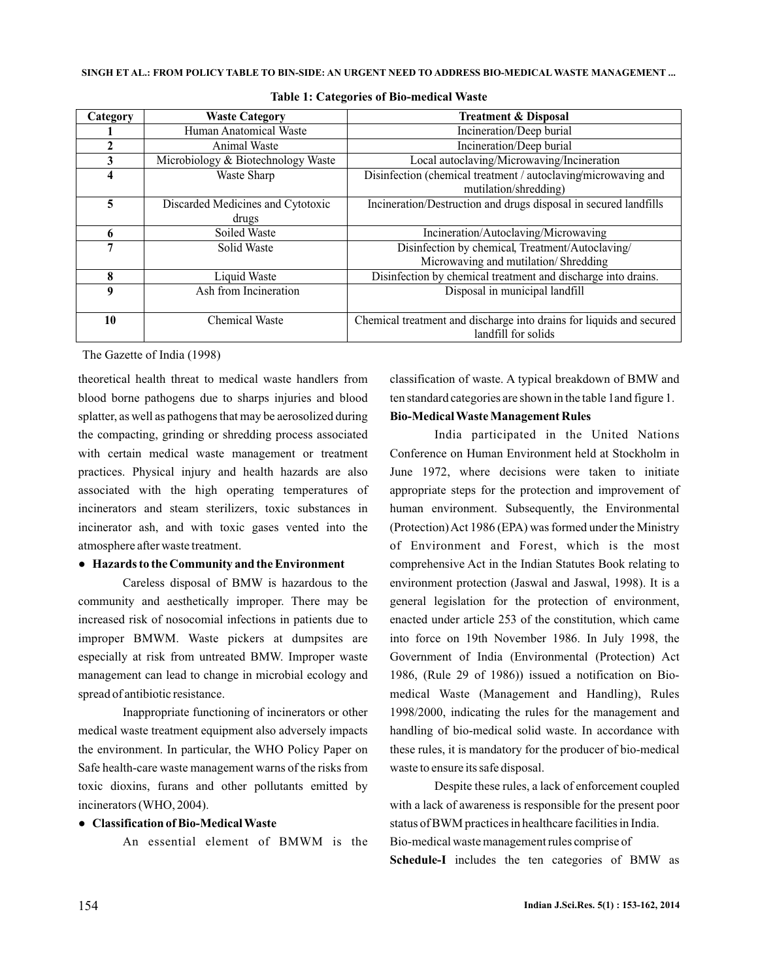| Category | <b>Waste Category</b>              | <b>Treatment &amp; Disposal</b>                                      |  |  |
|----------|------------------------------------|----------------------------------------------------------------------|--|--|
|          | Human Anatomical Waste             | Incineration/Deep burial                                             |  |  |
|          | Animal Waste                       | Incineration/Deep burial                                             |  |  |
| 3        | Microbiology & Biotechnology Waste | Local autoclaving/Microwaving/Incineration                           |  |  |
| 4        | Waste Sharp                        | Disinfection (chemical treatment / autoclaving/microwaving and       |  |  |
|          |                                    | mutilation/shredding)                                                |  |  |
| 5        | Discarded Medicines and Cytotoxic  | Incineration/Destruction and drugs disposal in secured landfills     |  |  |
|          | drugs                              |                                                                      |  |  |
| 6        | Soiled Waste                       | Incineration/Autoclaving/Microwaving                                 |  |  |
| 7        | Solid Waste                        | Disinfection by chemical, Treatment/Autoclaving/                     |  |  |
|          |                                    | Microwaving and mutilation/ Shredding                                |  |  |
| 8        | Liquid Waste                       | Disinfection by chemical treatment and discharge into drains.        |  |  |
| 9        | Ash from Incineration              | Disposal in municipal landfill                                       |  |  |
|          |                                    |                                                                      |  |  |
| 10       | <b>Chemical Waste</b>              | Chemical treatment and discharge into drains for liquids and secured |  |  |
|          |                                    | landfill for solids                                                  |  |  |

**Table 1: Categories of Bio-medical Waste**

The Gazette of India (1998)

theoretical health threat to medical waste handlers from blood borne pathogens due to sharps injuries and blood splatter, as well as pathogens that may be aerosolized during the compacting, grinding or shredding process associated with certain medical waste management or treatment practices. Physical injury and health hazards are also associated with the high operating temperatures of incinerators and steam sterilizers, toxic substances in incinerator ash, and with toxic gases vented into the atmosphere after waste treatment.

#### **● Hazards to the Community and the Environment**

Careless disposal of BMW is hazardous to the community and aesthetically improper. There may be increased risk of nosocomial infections in patients due to improper BMWM. Waste pickers at dumpsites are especially at risk from untreated BMW. Improper waste management can lead to change in microbial ecology and spread of antibiotic resistance.

Inappropriate functioning of incinerators or other medical waste treatment equipment also adversely impacts the environment. In particular, the WHO Policy Paper on Safe health-care waste management warns of the risks from toxic dioxins, furans and other pollutants emitted by incinerators (WHO, 2004).

### ● **Classification of Bio-Medical Waste**

An essential element of BMWM is the

classification of waste. A typical breakdown of BMW and ten standard categories are shown in the table 1and figure 1.

#### **Bio-Medical Waste Management Rules**

India participated in the United Nations Conference on Human Environment held at Stockholm in June 1972, where decisions were taken to initiate appropriate steps for the protection and improvement of human environment. Subsequently, the Environmental (Protection)Act 1986 (EPA) was formed under the Ministry of Environment and Forest, which is the most comprehensive Act in the Indian Statutes Book relating to environment protection (Jaswal and Jaswal, 1998). It is a general legislation for the protection of environment, enacted under article 253 of the constitution, which came into force on 19th November 1986. In July 1998, the Government of India (Environmental (Protection) Act 1986, (Rule 29 of 1986)) issued a notification on Biomedical Waste (Management and Handling), Rules 1998/2000, indicating the rules for the management and handling of bio-medical solid waste. In accordance with these rules, it is mandatory for the producer of bio-medical waste to ensure its safe disposal.

Despite these rules, a lack of enforcement coupled with a lack of awareness is responsible for the present poor status of BWM practices in healthcare facilities in India. Bio-medical waste management rules comprise of Schedule-I includes the ten categories of BMW as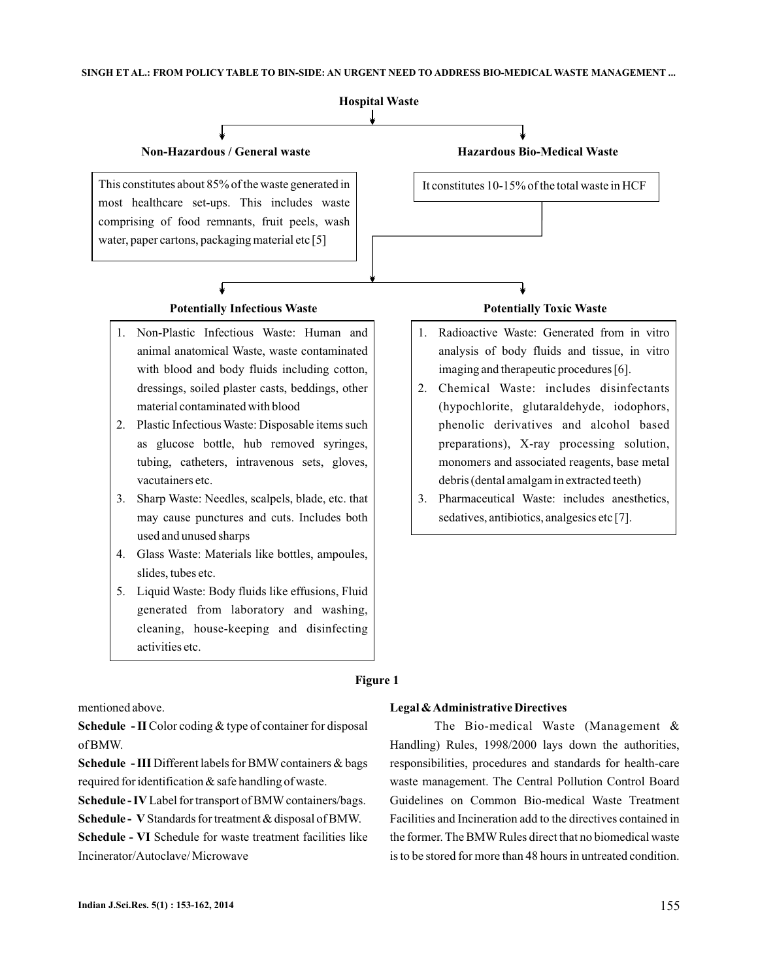

mentioned above.

Schedule - II Color coding & type of container for disposal of BMW.

Schedule - III Different labels for BMW containers & bags required for identification & safe handling of waste.

Schedule - IV Label for transport of BMW containers/bags.

Schedule - V Standards for treatment & disposal of BMW.

Schedule - VI Schedule for waste treatment facilities like Incinerator/Autoclave/ Microwave

#### **Legal &Administrative Directives**

The Bio-medical Waste (Management & Handling) Rules, 1998/2000 lays down the authorities, responsibilities, procedures and standards for health-care waste management. The Central Pollution Control Board Guidelines on Common Bio-medical Waste Treatment Facilities and Incineration add to the directives contained in the former. The BMW Rules direct that no biomedical waste is to be stored for more than 48 hours in untreated condition.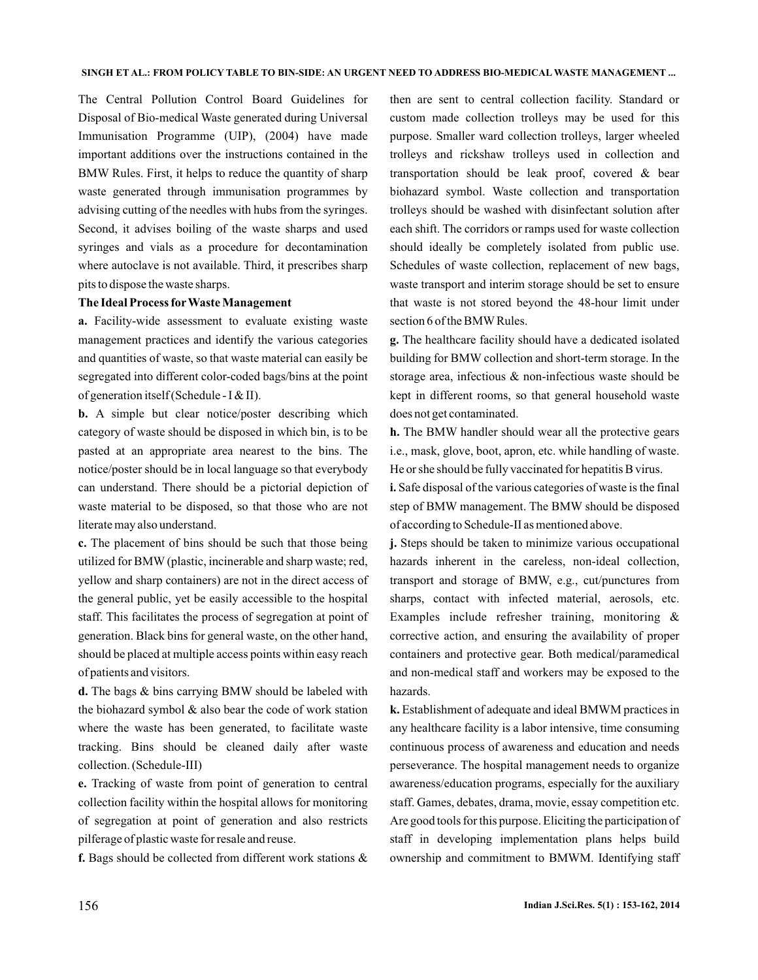The Central Pollution Control Board Guidelines for Disposal of Bio-medical Waste generated during Universal Immunisation Programme (UIP), (2004) have made important additions over the instructions contained in the BMW Rules. First, it helps to reduce the quantity of sharp waste generated through immunisation programmes by advising cutting of the needles with hubs from the syringes. Second, it advises boiling of the waste sharps and used syringes and vials as a procedure for decontamination where autoclave is not available. Third, it prescribes sharp pits to dispose the waste sharps.

### **The Ideal Process forWaste Management**

Facility-wide assessment to evaluate existing waste **a.** management practices and identify the various categories and quantities of waste, so that waste material can easily be segregated into different color-coded bags/bins at the point of generation itself (Schedule - I & II).

**b.** A simple but clear notice/poster describing which category of waste should be disposed in which bin, is to be pasted at an appropriate area nearest to the bins. The notice/poster should be in local language so that everybody can understand. There should be a pictorial depiction of waste material to be disposed, so that those who are not literate may also understand.

The placement of bins should be such that those being **c.** utilized for BMW (plastic, incinerable and sharp waste; red, yellow and sharp containers) are not in the direct access of the general public, yet be easily accessible to the hospital staff. This facilitates the process of segregation at point of generation. Black bins for general waste, on the other hand, should be placed at multiple access points within easy reach of patients and visitors.

d. The bags & bins carrying BMW should be labeled with the biohazard symbol  $&$  also bear the code of work station where the waste has been generated, to facilitate waste tracking. Bins should be cleaned daily after waste collection. (Schedule-III)

Tracking of waste from point of generation to central **e.** collection facility within the hospital allows for monitoring of segregation at point of generation and also restricts pilferage of plastic waste for resale and reuse.

f. Bags should be collected from different work stations &

then are sent to central collection facility. Standard or custom made collection trolleys may be used for this purpose. Smaller ward collection trolleys, larger wheeled trolleys and rickshaw trolleys used in collection and transportation should be leak proof, covered & bear biohazard symbol. Waste collection and transportation trolleys should be washed with disinfectant solution after each shift. The corridors or ramps used for waste collection should ideally be completely isolated from public use. Schedules of waste collection, replacement of new bags, waste transport and interim storage should be set to ensure that waste is not stored beyond the 48-hour limit under section 6 of the BMW Rules.

The healthcare facility should have a dedicated isolated **g.** building for BMW collection and short-term storage. In the storage area, infectious & non-infectious waste should be kept in different rooms, so that general household waste does not get contaminated.

**h.** The BMW handler should wear all the protective gears i.e., mask, glove, boot, apron, etc. while handling of waste. He or she should be fully vaccinated for hepatitis B virus.

i. Safe disposal of the various categories of waste is the final step of BMW management. The BMW should be disposed of according to Schedule-II as mentioned above.

**j.** Steps should be taken to minimize various occupational hazards inherent in the careless, non-ideal collection, transport and storage of BMW, e.g., cut/punctures from sharps, contact with infected material, aerosols, etc. Examples include refresher training, monitoring & corrective action, and ensuring the availability of proper containers and protective gear. Both medical/paramedical and non-medical staff and workers may be exposed to the hazards.

Establishment of adequate and ideal BMWM practices in **k.** any healthcare facility is a labor intensive, time consuming continuous process of awareness and education and needs perseverance. The hospital management needs to organize awareness/education programs, especially for the auxiliary staff. Games, debates, drama, movie, essay competition etc. Are good tools for this purpose. Eliciting the participation of staff in developing implementation plans helps build ownership and commitment to BMWM. Identifying staff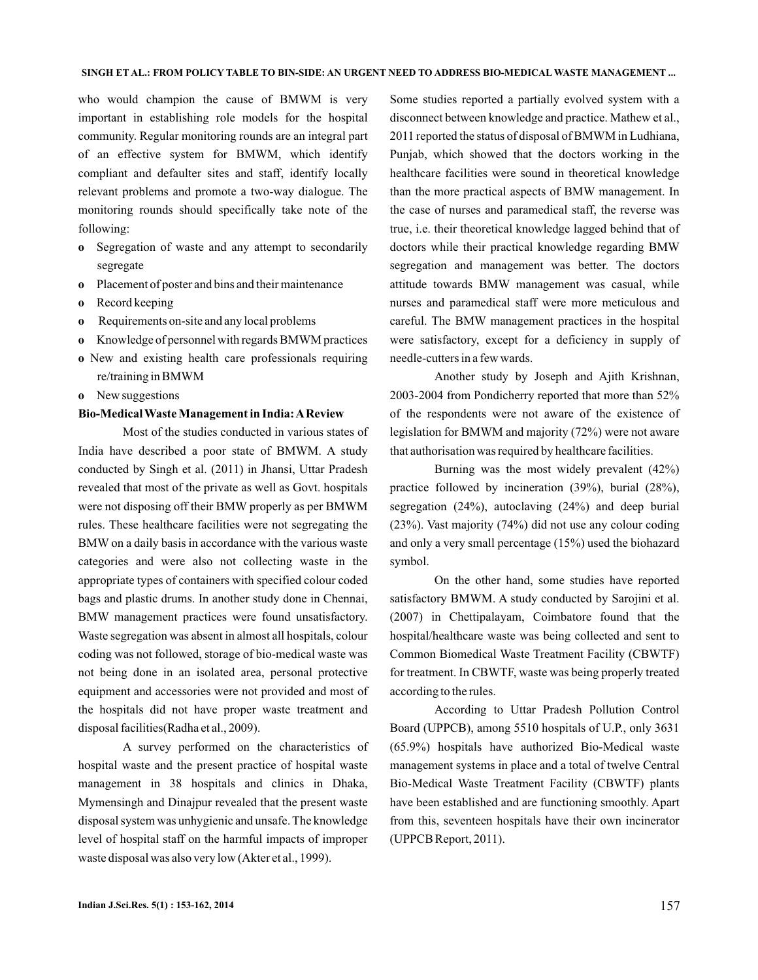who would champion the cause of BMWM is very important in establishing role models for the hospital community. Regular monitoring rounds are an integral part of an effective system for BMWM, which identify compliant and defaulter sites and staff, identify locally relevant problems and promote a two-way dialogue. The monitoring rounds should specifically take note of the following:

- Segregation of waste and any attempt to secondarily **o** segregate
- Placement of poster and bins and their maintenance **o**
- Record keeping **o**
- Requirements on-site and any local problems **o**
- Knowledge of personnel with regards BMWM practices **o**
- New and existing health care professionals requiring **o** re/training in BMWM
- New suggestions **o**

#### **Bio-Medical Waste Management in India:AReview**

Most of the studies conducted in various states of India have described a poor state of BMWM. A study conducted by Singh et al. (2011) in Jhansi, Uttar Pradesh revealed that most of the private as well as Govt. hospitals were not disposing off their BMW properly as per BMWM rules. These healthcare facilities were not segregating the BMW on a daily basis in accordance with the various waste categories and were also not collecting waste in the appropriate types of containers with specified colour coded bags and plastic drums. In another study done in Chennai, BMW management practices were found unsatisfactory. Waste segregation was absent in almost all hospitals, colour coding was not followed, storage of bio-medical waste was not being done in an isolated area, personal protective equipment and accessories were not provided and most of the hospitals did not have proper waste treatment and disposal facilities(Radha et al., 2009).

A survey performed on the characteristics of hospital waste and the present practice of hospital waste management in 38 hospitals and clinics in Dhaka, Mymensingh and Dinajpur revealed that the present waste disposal system was unhygienic and unsafe. The knowledge level of hospital staff on the harmful impacts of improper waste disposal was also very low (Akter et al., 1999).

Some studies reported a partially evolved system with a disconnect between knowledge and practice. Mathew et al., 2011 reported the status of disposal of BMWM in Ludhiana, Punjab, which showed that the doctors working in the healthcare facilities were sound in theoretical knowledge than the more practical aspects of BMW management. In the case of nurses and paramedical staff, the reverse was true, i.e. their theoretical knowledge lagged behind that of doctors while their practical knowledge regarding BMW segregation and management was better. The doctors attitude towards BMW management was casual, while nurses and paramedical staff were more meticulous and careful. The BMW management practices in the hospital were satisfactory, except for a deficiency in supply of needle-cutters in a few wards.

Another study by Joseph and Ajith Krishnan, 2003-2004 from Pondicherry reported that more than 52% of the respondents were not aware of the existence of legislation for BMWM and majority (72%) were not aware that authorisation was required by healthcare facilities.

Burning was the most widely prevalent (42%) practice followed by incineration (39%), burial (28%), segregation (24%), autoclaving (24%) and deep burial (23%). Vast majority (74%) did not use any colour coding and only a very small percentage (15%) used the biohazard symbol.

On the other hand, some studies have reported satisfactory BMWM. A study conducted by Sarojini et al. (2007) in Chettipalayam, Coimbatore found that the hospital/healthcare waste was being collected and sent to Common Biomedical Waste Treatment Facility (CBWTF) for treatment. In CBWTF, waste was being properly treated according to the rules.

According to Uttar Pradesh Pollution Control Board (UPPCB), among 5510 hospitals of U.P., only 3631 (65.9%) hospitals have authorized Bio-Medical waste management systems in place and a total of twelve Central Bio-Medical Waste Treatment Facility (CBWTF) plants have been established and are functioning smoothly. Apart from this, seventeen hospitals have their own incinerator (UPPCB Report, 2011).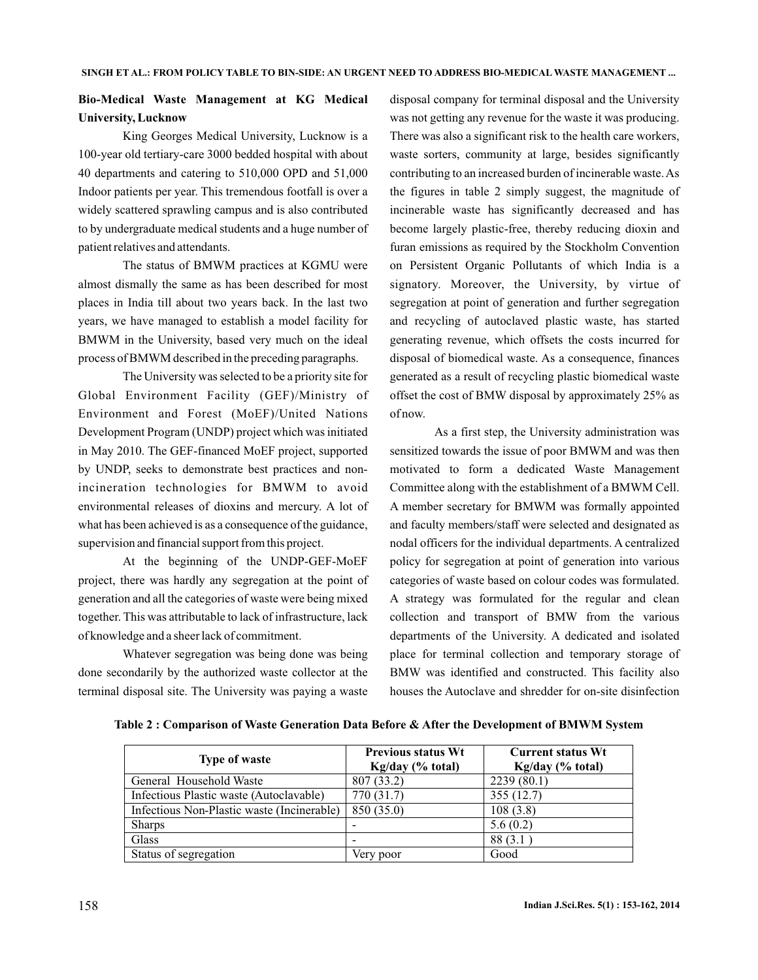# **Bio-Medical Waste Management at KG Medical University, Lucknow**

King Georges Medical University, Lucknow is a 100-year old tertiary-care 3000 bedded hospital with about 40 departments and catering to 510,000 OPD and 51,000 Indoor patients per year. This tremendous footfall is over a widely scattered sprawling campus and is also contributed to by undergraduate medical students and a huge number of patient relatives and attendants.

The status of BMWM practices at KGMU were almost dismally the same as has been described for most places in India till about two years back. In the last two years, we have managed to establish a model facility for BMWM in the University, based very much on the ideal process of BMWM described in the preceding paragraphs.

The University was selected to be a priority site for Global Environment Facility (GEF)/Ministry of Environment and Forest (MoEF)/United Nations Development Program (UNDP) project which was initiated in May 2010. The GEF-financed MoEF project, supported by UNDP, seeks to demonstrate best practices and nonincineration technologies for BMWM to avoid environmental releases of dioxins and mercury. A lot of what has been achieved is as a consequence of the guidance, supervision and financial support from this project.

At the beginning of the UNDP-GEF-MoEF project, there was hardly any segregation at the point of generation and all the categories of waste were being mixed together. This was attributable to lack of infrastructure, lack of knowledge and a sheer lack of commitment.

Whatever segregation was being done was being done secondarily by the authorized waste collector at the terminal disposal site. The University was paying a waste disposal company for terminal disposal and the University was not getting any revenue for the waste it was producing. There was also a significant risk to the health care workers, waste sorters, community at large, besides significantly contributing to an increased burden of incinerable waste.As the figures in table 2 simply suggest, the magnitude of incinerable waste has significantly decreased and has become largely plastic-free, thereby reducing dioxin and furan emissions as required by the Stockholm Convention on Persistent Organic Pollutants of which India is a signatory. Moreover, the University, by virtue of segregation at point of generation and further segregation and recycling of autoclaved plastic waste, has started generating revenue, which offsets the costs incurred for disposal of biomedical waste. As a consequence, finances generated as a result of recycling plastic biomedical waste offset the cost of BMW disposal by approximately 25% as of now.

As a first step, the University administration was sensitized towards the issue of poor BMWM and was then motivated to form a dedicated Waste Management Committee along with the establishment of a BMWM Cell. A member secretary for BMWM was formally appointed and faculty members/staff were selected and designated as nodal officers for the individual departments. A centralized policy for segregation at point of generation into various categories of waste based on colour codes was formulated. A strategy was formulated for the regular and clean collection and transport of BMW from the various departments of the University. A dedicated and isolated place for terminal collection and temporary storage of BMW was identified and constructed. This facility also houses the Autoclave and shredder for on-site disinfection

| <b>Type of waste</b>                       | <b>Previous status Wt</b><br>Kg/day (% total) | <b>Current status Wt</b><br>Kg/day (% total) |
|--------------------------------------------|-----------------------------------------------|----------------------------------------------|
| General Household Waste                    | 807 (33.2)                                    | 2239(80.1)                                   |
| Infectious Plastic waste (Autoclavable)    | 770 (31.7)                                    | 355(12.7)                                    |
| Infectious Non-Plastic waste (Incinerable) | 850 (35.0)                                    | 108(3.8)                                     |
| <b>Sharps</b>                              |                                               | 5.6(0.2)                                     |
| Glass                                      |                                               | 88(3.1)                                      |
| Status of segregation                      | Very poor                                     | Good                                         |

**Table 2 : Comparison of Waste Generation Data Before & After the Development of BMWM System**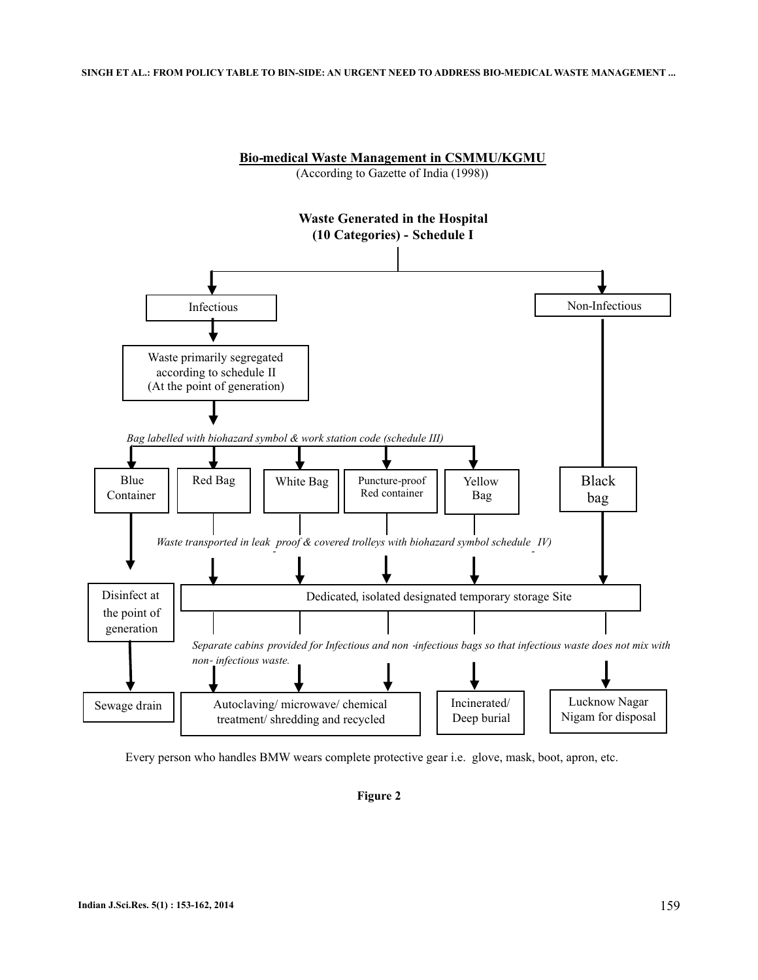#### **SINGH ET AL.: FROM POLICY TABLE TO BIN-SIDE: AN URGENT NEED TO ADDRESS BIO-MEDICAL WASTE MANAGEMENT ...**



Every person who handles BMW wears complete protective gear i.e. glove, mask, boot, apron, etc.

## **Figure 2**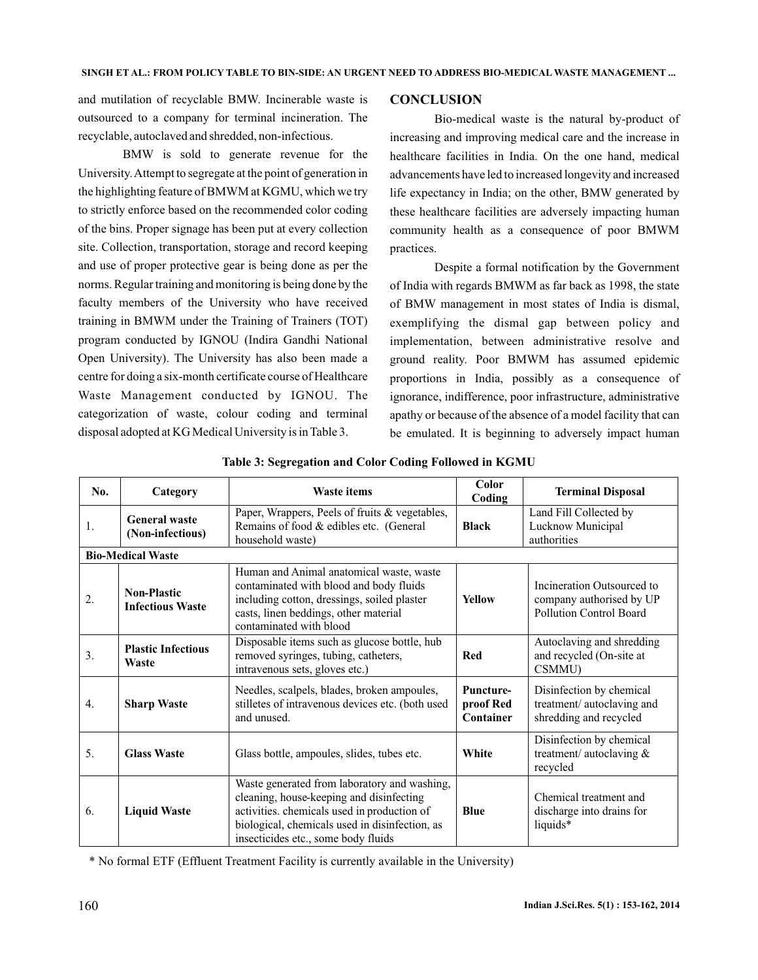and mutilation of recyclable BMW. Incinerable waste is outsourced to a company for terminal incineration. The recyclable, autoclaved and shredded, non-infectious.

BMW is sold to generate revenue for the University.Attempt to segregate at the point of generation in the highlighting feature of BMWM at KGMU, which we try to strictly enforce based on the recommended color coding of the bins. Proper signage has been put at every collection site. Collection, transportation, storage and record keeping and use of proper protective gear is being done as per the norms. Regular training and monitoring is being done by the faculty members of the University who have received training in BMWM under the Training of Trainers (TOT) program conducted by IGNOU (Indira Gandhi National Open University). The University has also been made a centre for doing a six-month certificate course of Healthcare Waste Management conducted by IGNOU. The categorization of waste, colour coding and terminal disposal adopted at KG Medical University is in Table 3.

### **CONCLUSION**

Bio-medical waste is the natural by-product of increasing and improving medical care and the increase in healthcare facilities in India. On the one hand, medical advancements have led to increased longevity and increased life expectancy in India; on the other, BMW generated by these healthcare facilities are adversely impacting human community health as a consequence of poor BMWM practices.

Despite a formal notification by the Government of India with regards BMWM as far back as 1998, the state of BMW management in most states of India is dismal, exemplifying the dismal gap between policy and implementation, between administrative resolve and ground reality. Poor BMWM has assumed epidemic proportions in India, possibly as a consequence of ignorance, indifference, poor infrastructure, administrative apathy or because of the absence of a model facility that can be emulated. It is beginning to adversely impact human

| No.                      | Category                                      | <b>Waste items</b>                                                                                                                                                                                                               | Color<br>Coding                            | <b>Terminal Disposal</b>                                                          |  |  |  |
|--------------------------|-----------------------------------------------|----------------------------------------------------------------------------------------------------------------------------------------------------------------------------------------------------------------------------------|--------------------------------------------|-----------------------------------------------------------------------------------|--|--|--|
| 1.                       | <b>General waste</b><br>(Non-infectious)      | Paper, Wrappers, Peels of fruits & vegetables,<br>Remains of food & edibles etc. (General<br>household waste)                                                                                                                    | <b>Black</b>                               | Land Fill Collected by<br>Lucknow Municipal<br>authorities                        |  |  |  |
| <b>Bio-Medical Waste</b> |                                               |                                                                                                                                                                                                                                  |                                            |                                                                                   |  |  |  |
| 2.                       | <b>Non-Plastic</b><br><b>Infectious Waste</b> | Human and Animal anatomical waste, waste<br>contaminated with blood and body fluids<br>including cotton, dressings, soiled plaster<br>casts, linen beddings, other material<br>contaminated with blood                           | <b>Yellow</b>                              | Incineration Outsourced to<br>company authorised by UP<br>Pollution Control Board |  |  |  |
| 3.                       | <b>Plastic Infectious</b><br>Waste            | Disposable items such as glucose bottle, hub<br>removed syringes, tubing, catheters,<br>intravenous sets, gloves etc.)                                                                                                           | <b>Red</b>                                 | Autoclaving and shredding<br>and recycled (On-site at<br>CSMMU)                   |  |  |  |
| 4.                       | <b>Sharp Waste</b>                            | Needles, scalpels, blades, broken ampoules,<br>stilletes of intravenous devices etc. (both used<br>and unused.                                                                                                                   | <b>Puncture-</b><br>proof Red<br>Container | Disinfection by chemical<br>treatment/ autoclaving and<br>shredding and recycled  |  |  |  |
| 5.                       | <b>Glass Waste</b>                            | Glass bottle, ampoules, slides, tubes etc.                                                                                                                                                                                       | White                                      | Disinfection by chemical<br>treatment/ autoclaving &<br>recycled                  |  |  |  |
| 6.                       | <b>Liquid Waste</b>                           | Waste generated from laboratory and washing,<br>cleaning, house-keeping and disinfecting<br>activities. chemicals used in production of<br>biological, chemicals used in disinfection, as<br>insecticides etc., some body fluids | <b>Blue</b>                                | Chemical treatment and<br>discharge into drains for<br>liquids*                   |  |  |  |

**Table 3: Segregation and Color Coding Followed in KGMU**

\* No formal ETF (Effluent Treatment Facility is currently available in the University)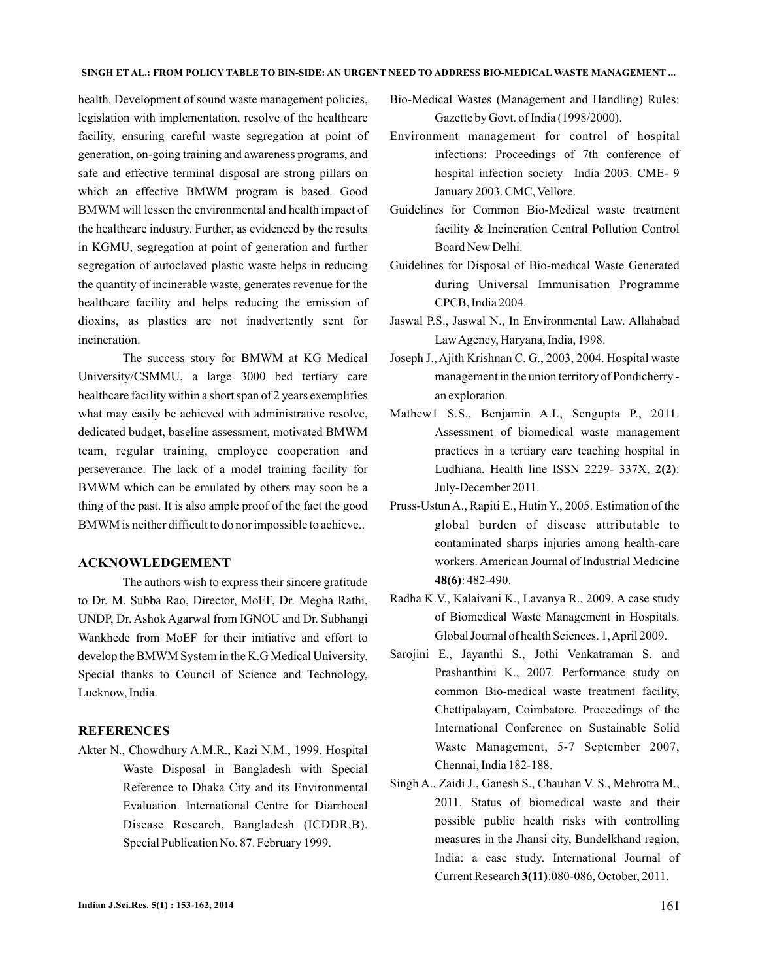health. Development of sound waste management policies, legislation with implementation, resolve of the healthcare facility, ensuring careful waste segregation at point of generation, on-going training and awareness programs, and safe and effective terminal disposal are strong pillars on which an effective BMWM program is based. Good BMWM will lessen the environmental and health impact of the healthcare industry. Further, as evidenced by the results in KGMU, segregation at point of generation and further segregation of autoclaved plastic waste helps in reducing the quantity of incinerable waste, generates revenue for the healthcare facility and helps reducing the emission of dioxins, as plastics are not inadvertently sent for incineration.

The success story for BMWM at KG Medical University/CSMMU, a large 3000 bed tertiary care healthcare facility within a short span of 2 years exemplifies what may easily be achieved with administrative resolve, dedicated budget, baseline assessment, motivated BMWM team, regular training, employee cooperation and perseverance. The lack of a model training facility for BMWM which can be emulated by others may soon be a thing of the past. It is also ample proof of the fact the good BMWM is neither difficult to do nor impossible to achieve..

## **ACKNOWLEDGEMENT**

The authors wish to express their sincere gratitude to Dr. M. Subba Rao, Director, MoEF, Dr. Megha Rathi, UNDP, Dr. Ashok Agarwal from IGNOU and Dr. Subhangi Wankhede from MoEF for their initiative and effort to develop the BMWM System in the K.G Medical University. Special thanks to Council of Science and Technology, Lucknow, India.

#### **REFERENCES**

Akter N., Chowdhury A.M.R., Kazi N.M., 1999. Hospital Waste Disposal in Bangladesh with Special Reference to Dhaka City and its Environmental Evaluation. International Centre for Diarrhoeal Disease Research, Bangladesh (ICDDR,B). Special Publication No. 87. February 1999.

- Bio-Medical Wastes (Management and Handling) Rules: Gazette by Govt. of India (1998/2000).
- Environment management for control of hospital infections: Proceedings of 7th conference of hospital infection society India 2003. CME- 9 January 2003. CMC, Vellore.
- Guidelines for Common Bio-Medical waste treatment facility & Incineration Central Pollution Control Board New Delhi.
- Guidelines for Disposal of Bio-medical Waste Generated during Universal Immunisation Programme CPCB, India 2004.
- Jaswal P.S., Jaswal N., In Environmental Law. Allahabad LawAgency, Haryana, India, 1998.
- Joseph J., Ajith Krishnan C. G., 2003, 2004. Hospital waste management in the union territory of Pondicherry an exploration.
- Mathew1 S.S., Benjamin A.I., Sengupta P., 2011. Assessment of biomedical waste management practices in a tertiary care teaching hospital in Ludhiana. Health line ISSN 2229- 337X, 2(2): July-December 2011.
- Pruss-Ustun A., Rapiti E., Hutin Y., 2005. Estimation of the global burden of disease attributable to contaminated sharps injuries among health-care workers. American Journal of Industrial Medicine : 482-490. **48(6)**
- Radha K.V., Kalaivani K., Lavanya R., 2009. A case study of Biomedical Waste Management in Hospitals. Global Journal of health Sciences. 1,April 2009.
- Sarojini E., Jayanthi S., Jothi Venkatraman S. and Prashanthini K., 2007. Performance study on common Bio-medical waste treatment facility, Chettipalayam, Coimbatore. Proceedings of the International Conference on Sustainable Solid Waste Management, 5-7 September 2007, Chennai, India 182-188.
- Singh A., Zaidi J., Ganesh S., Chauhan V. S., Mehrotra M., 2011. Status of biomedical waste and their possible public health risks with controlling measures in the Jhansi city, Bundelkhand region, India: a case study. International Journal of Current Research 3(11):080-086, October, 2011.